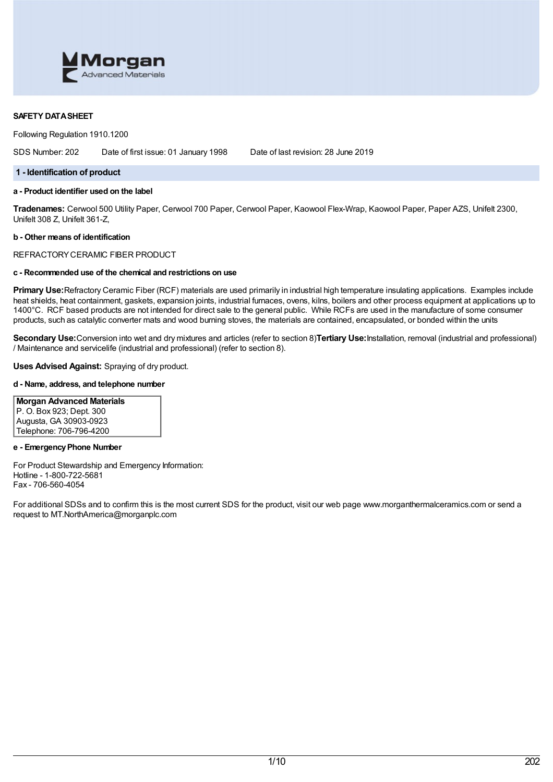

### **SAFETY DATASHEET**

Following Regulation 1910.1200

SDS Number: 202 Date of first issue: 01 January 1998 Date of last revision: 28 June 2019

### **1 - Identification of product**

# **a - Product identifier used on the label**

**Tradenames:** Cerwool 500 Utility Paper, Cerwool 700 Paper, Cerwool Paper, Kaowool Flex-Wrap, Kaowool Paper, Paper AZS, Unifelt 2300, Unifelt 308 Z, Unifelt 361-Z,

#### **b - Other means of identification**

REFRACTORYCERAMIC FIBER PRODUCT

# **c - Recommended use of the chemical and restrictions on use**

**Primary Use:**Refractory Ceramic Fiber (RCF) materials are used primarily in industrial high temperature insulating applications. Examples include heat shields, heat containment, gaskets, expansion joints, industrial furnaces, ovens, kilns, boilers and other process equipment at applications up to 1400°C. RCF based products are not intended for direct sale to the general public. While RCFs are used in the manufacture of some consumer products, such as catalytic converter mats and wood burning stoves, the materials are contained, encapsulated, or bonded within the units

**Secondary Use:**Conversion into wet and dry mixtures and articles (refer to section 8)**Tertiary Use:**Installation, removal (industrial and professional) / Maintenance and servicelife (industrial and professional) (refer to section 8).

### **Uses Advised Against:** Spraying of dry product.

### **d - Name, address, and telephone number**

# **Morgan Advanced Materials** P. O. Box 923; Dept. 300

Augusta, GA 30903-0923 Telephone: 706-796-4200

### **e - EmergencyPhone Number**

For Product Stewardship and Emergency Information: Hotline - 1-800-722-5681 Fax - 706-560-4054

For additional SDSs and to confirm this is the most current SDS for the product, visit our web page www.morganthermalceramics.com or send a request to MT.NorthAmerica@morganplc.com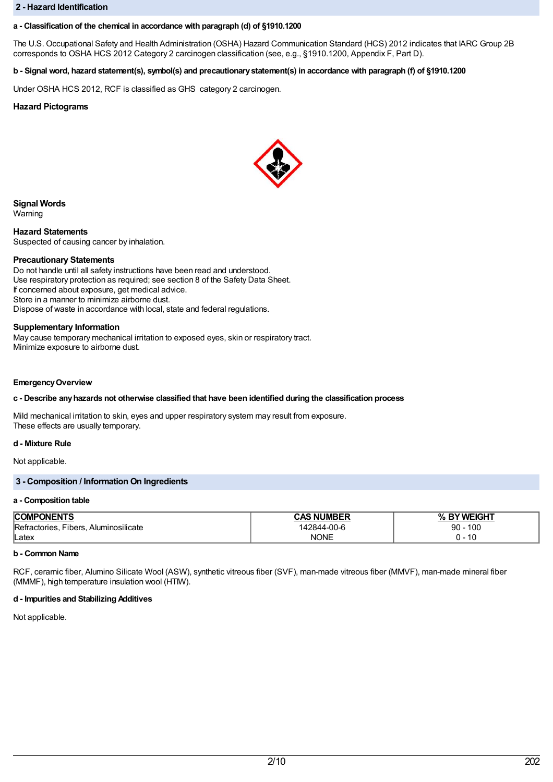### **2 - Hazard Identification**

### **a - Classification of the chemical in accordance with paragraph (d) of §1910.1200**

The U.S. Occupational Safety and Health Administration (OSHA) Hazard Communication Standard (HCS) 2012 indicates that IARC Group 2B corresponds to OSHA HCS 2012 Category 2 carcinogen classification (see, e.g., §1910.1200, Appendix F, Part D).

## b - Signal word, hazard statement(s), symbol(s) and precautionary statement(s) in accordance with paragraph (f) of §1910.1200

Under OSHA HCS 2012, RCF is classified as GHS category 2 carcinogen.

### **Hazard Pictograms**



**Signal Words**

Warning

**Hazard Statements** Suspected of causing cancer by inhalation.

#### **Precautionary Statements**

Do not handle until all safety instructions have been read and understood. Use respiratory protection as required; see section 8 of the Safety Data Sheet. If concerned about exposure, get medical advice. Store in a manner to minimize airborne dust. Dispose of waste in accordance with local, state and federal regulations.

#### **Supplementary Information**

May cause temporary mechanical irritation to exposed eyes, skin or respiratory tract. Minimize exposure to airborne dust.

#### **EmergencyOverview**

### **c - Describe anyhazards not otherwise classified that have been identified during the classification process**

Mild mechanical irritation to skin, eyes and upper respiratory system may result from exposure. These effects are usually temporary.

### **d - Mixture Rule**

Not applicable.

## **3 - Composition / Information On Ingredients**

#### **a - Composition table**

| <b>ONENTS</b><br><b>COM</b>                                     | <b>NIIMRED</b><br>אי   | דו ומו־<br><b>SMF</b><br>n                        |
|-----------------------------------------------------------------|------------------------|---------------------------------------------------|
| ∽<br>---<br><br>ribers<br>Aluminosilicate<br>ctories:<br>"Refr. | 42844-00-6<br>$\Delta$ | 100<br>90                                         |
| lLatex                                                          | NONE<br>N              | $\overline{10}$<br>$\overline{\phantom{a}}$<br>ιu |

### **b - Common Name**

RCF, ceramic fiber, Alumino Silicate Wool (ASW), synthetic vitreous fiber (SVF), man-made vitreous fiber (MMVF), man-made mineral fiber (MMMF), high temperature insulation wool (HTIW).

#### **d - Impurities and Stabilizing Additives**

Not applicable.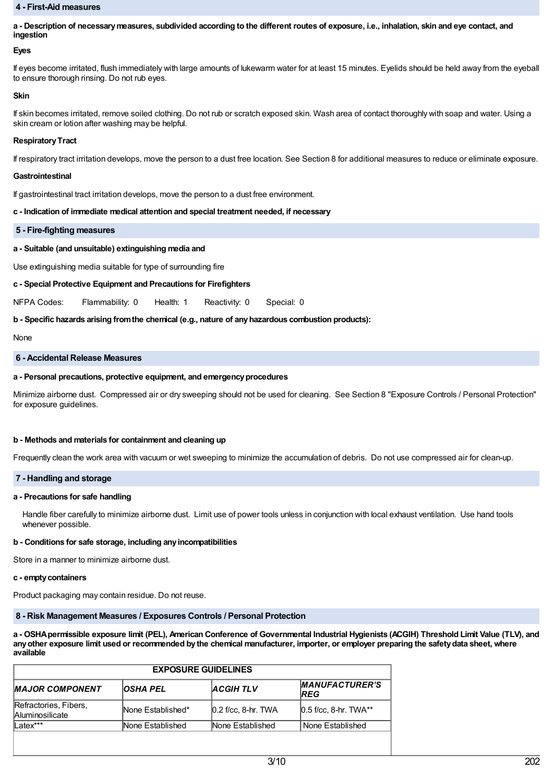### **4 - First-Aid measures**

a - Description of necessary measures, subdivided according to the different routes of exposure, i.e., inhalation, skin and eye contact, and **ingestion**

#### **Eyes**

If eyes become irritated, flush immediately with large amounts of lukewarm water for at least 15 minutes. Eyelids should be held away from the eyeball to ensure thorough rinsing. Do not rub eyes.

#### **Skin**

If skin becomes irritated, remove soiled clothing. Do not rub or scratch exposed skin. Wash area of contact thoroughly with soap and water. Using a skin cream or lotion after washing may be helpful.

#### **RespiratoryTract**

If respiratory tract irritation develops, move the person to a dust free location. See Section 8 for additional measures to reduce or eliminate exposure.

#### **Gastrointestinal**

If gastrointestinal tract irritation develops, move the person to a dust free environment.

#### **c - Indication of immediate medical attention and special treatment needed, if necessary**

#### **5 - Fire-fighting measures**

### **a - Suitable (and unsuitable) extinguishing media and**

Use extinguishing media suitable for type of surrounding fire

### **c - Special Protective Equipment and Precautions for Firefighters**

NFPA Codes: Flammability: 0 Health: 1 Reactivity: 0 Special: 0

### **b - Specific hazards arising fromthe chemical (e.g., nature of anyhazardous combustion products):**

None

#### **6 - Accidental Release Measures**

#### **a - Personal precautions, protective equipment, and emergencyprocedures**

Minimize airborne dust. Compressed air or dry sweeping should not be used for cleaning. See Section 8 "Exposure Controls / Personal Protection" for exposure guidelines.

#### **b - Methods and materials for containment and cleaning up**

Frequently clean the work area with vacuum or wet sweeping to minimize the accumulation of debris. Do not use compressed air for clean-up.

### **7 - Handling and storage**

#### **a - Precautions for safe handling**

Handle fiber carefully to minimize airborne dust. Limit use of power tools unless in conjunction with local exhaust ventilation. Use hand tools whenever possible.

#### **b - Conditions for safe storage, including anyincompatibilities**

Store in a manner to minimize airborne dust.

#### **c - emptycontainers**

Product packaging may contain residue. Do not reuse.

## **8 - Risk Management Measures / Exposures Controls / Personal Protection**

a - OSHA permissible exposure limit (PEL), American Conference of Governmental Industrial Hygienists (ACGIH) Threshold Limit Value (TLV), and any other exposure limit used or recommended by the chemical manufacturer, importer, or employer preparing the safety data sheet, where **available**

| <b>OSHA PEL</b>   | <b>ACGIHTLV</b> | <b>MANUFACTURER'S</b><br><b>IREG</b>       |
|-------------------|-----------------|--------------------------------------------|
|                   |                 |                                            |
| None Established* |                 | $[0.5$ f/cc, 8-hr. TWA**                   |
| lNone Established |                 | None Established                           |
|                   |                 | $[0.2$ f/cc, 8-hr. TWA<br>None Established |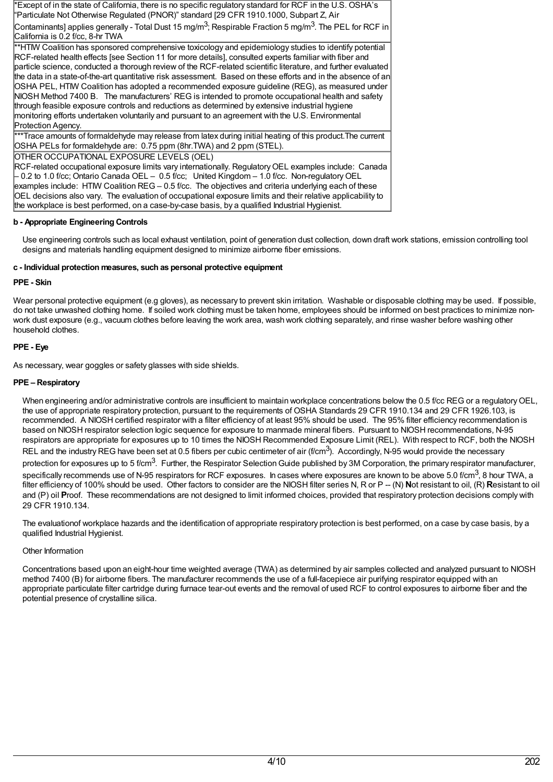\*Except of in the state of California, there is no specific regulatory standard for RCF in the U.S. OSHA's "Particulate Not Otherwise Regulated (PNOR)" standard [29 CFR 1910.1000, Subpart Z, Air

Contaminants] applies generally - Total Dust 15 mg/m<sup>3</sup>; Respirable Fraction 5 mg/m<sup>3</sup>. The PEL for RCF in California is 0.2 f/cc, 8-hr TWA

\*\*HTIW Coalition has sponsored comprehensive toxicology and epidemiology studies to identify potential RCF-related health effects [see Section 11 for more details], consulted experts familiar with fiber and particle science, conducted a thorough review of the RCF-related scientific literature, and further evaluated the data in a state-of-the-art quantitative risk assessment. Based on these efforts and in the absence of an OSHA PEL, HTIW Coalition has adopted a recommended exposure guideline (REG), as measured under NIOSH Method 7400 B. The manufacturers' REG is intended to promote occupational health and safety through feasible exposure controls and reductions as determined by extensive industrial hygiene monitoring efforts undertaken voluntarily and pursuant to an agreement with the U.S. Environmental Protection Agency.

\*\*Trace amounts of formaldehyde may release from latex during initial heating of this product.The current OSHA PELs for formaldehyde are: 0.75 ppm (8hr.TWA) and 2 ppm (STEL).

OTHER OCCUPATIONAL EXPOSURE LEVELS (OEL)

RCF-related occupational exposure limits vary internationally. Regulatory OEL examples include: Canada – 0.2 to 1.0 f/cc; Ontario Canada OEL – 0.5 f/cc; United Kingdom – 1.0 f/cc. Non-regulatoryOEL examples include: HTIW Coalition REG – 0.5 f/cc. The objectives and criteria underlying each of these OEL decisions also vary. The evaluation of occupational exposure limits and their relative applicability to the workplace is best performed, on a case-by-case basis, by a qualified Industrial Hygienist.

# **b - Appropriate Engineering Controls**

Use engineering controls such as local exhaust ventilation, point of generation dust collection, down draft work stations, emission controlling tool designs and materials handling equipment designed to minimize airborne fiber emissions.

# **c - Individual protection measures, such as personal protective equipment**

# **PPE - Skin**

Wear personal protective equipment (e.g gloves), as necessary to prevent skin irritation. Washable or disposable clothing may be used. If possible, do not take unwashed clothing home. If soiled work clothing must be taken home, employees should be informed on best practices to minimize nonwork dust exposure (e.g., vacuum clothes before leaving the work area, wash work clothing separately, and rinse washer before washing other household clothes.

# **PPE - Eye**

As necessary, wear goggles or safety glasses with side shields.

# **PPE – Respiratory**

When engineering and/or administrative controls are insufficient to maintain workplace concentrations below the 0.5 f/cc REG or a regulatory OEL, the use of appropriate respiratory protection, pursuant to the requirements of OSHA Standards 29 CFR 1910.134 and 29 CFR 1926.103, is recommended. A NIOSH certified respirator with a filter efficiency of at least 95% should be used. The 95% filter efficiency recommendation is based on NIOSH respirator selection logic sequence for exposure to manmade mineral fibers. Pursuant to NIOSH recommendations, N-95 respirators are appropriate for exposures up to 10 times the NIOSH Recommended Exposure Limit (REL). With respect to RCF, both the NIOSH REL and the industry REG have been set at 0.5 fibers per cubic centimeter of air (f/cm<sup>3</sup>). Accordingly, N-95 would provide the necessary protection for exposures up to 5 f/cm<sup>3</sup>. Further, the Respirator Selection Guide published by 3M Corporation, the primary respirator manufacturer, specifically recommends use of N-95 respirators for RCF exposures. In cases where exposures are known to be above 5.0 f/cm $^3$ , 8 hour TWA, a filter efficiency of 100% should be used. Other factors to consider are the NIOSH filter series N, R or P -- (N) Not resistant to oil, (R) Resistant to oil and (P) oil **Proof.** These recommendations are not designed to limit informed choices, provided that respiratory protection decisions comply with 29 CFR 1910.134.

The evaluationof workplace hazards and the identification of appropriate respiratory protection is best performed, on a case by case basis, by a qualified Industrial Hygienist.

# Other Information

Concentrations based upon an eight-hour time weighted average (TWA) as determined by air samples collected and analyzed pursuant to NIOSH method 7400 (B) for airborne fibers. The manufacturer recommends the use of a full-facepiece air purifying respirator equipped with an appropriate particulate filter cartridge during furnace tear-out events and the removal of used RCF to control exposures to airborne fiber and the potential presence of crystalline silica.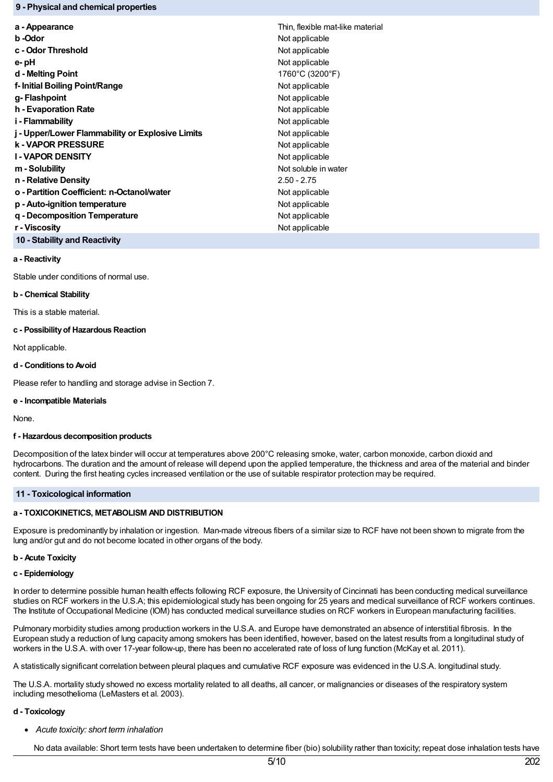### **9 - Physical and chemical properties**

| a - Appearance                                   | Thin, flexible mat-like material |
|--------------------------------------------------|----------------------------------|
| b -Odor                                          | Not applicable                   |
| c - Odor Threshold                               | Not applicable                   |
| e- pH                                            | Not applicable                   |
| d - Melting Point                                | 1760°C (3200°F)                  |
| f- Initial Boiling Point/Range                   | Not applicable                   |
| g- Flashpoint                                    | Not applicable                   |
| h - Evaporation Rate                             | Not applicable                   |
| i - Flammability                                 | Not applicable                   |
| j - Upper/Lower Flammability or Explosive Limits | Not applicable                   |
| <b>k - VAPOR PRESSURE</b>                        | Not applicable                   |
| <b>I-VAPOR DENSITY</b>                           | Not applicable                   |
| m - Solubility                                   | Not soluble in water             |
| n - Relative Density                             | $2.50 - 2.75$                    |
| o - Partition Coefficient: n-Octanol/water       | Not applicable                   |
| p - Auto-ignition temperature                    | Not applicable                   |
| g - Decomposition Temperature                    | Not applicable                   |
| r - Viscosity                                    | Not applicable                   |
| 10 - Stability and Reactivity                    |                                  |

### **a - Reactivity**

Stable under conditions of normal use.

#### **b - Chemical Stability**

This is a stable material.

#### **c - Possibilityof Hazardous Reaction**

Not applicable.

### **d - Conditions to Avoid**

Please refer to handling and storage advise in Section 7.

#### **e - Incompatible Materials**

None.

### **f - Hazardous decomposition products**

Decomposition of the latex binder will occur at temperatures above 200°C releasing smoke, water, carbon monoxide, carbon dioxid and hydrocarbons. The duration and the amount of release will depend upon the applied temperature, the thickness and area of the material and binder content. During the first heating cycles increased ventilation or the use of suitable respirator protection may be required.

#### **11 - Toxicological information**

### **a - TOXICOKINETICS, METABOLISM AND DISTRIBUTION**

Exposure is predominantly by inhalation or ingestion. Man-made vitreous fibers of a similar size to RCF have not been shown to migrate from the lung and/or gut and do not become located in other organs of the body.

#### **b - Acute Toxicity**

#### **c - Epidemiology**

In order to determine possible human health effects following RCF exposure, the University of Cincinnati has been conducting medical surveillance studies on RCF workers in the U.S.A; this epidemiological study has been ongoing for 25 years and medical surveillance of RCF workers continues. The Institute of Occupational Medicine (IOM) has conducted medical surveillance studies on RCF workers in European manufacturing facilities.

Pulmonary morbidity studies among production workers in the U.S.A. and Europe have demonstrated an absence of interstitial fibrosis. In the European study a reduction of lung capacity among smokers has been identified, however, based on the latest results from a longitudinal study of workers in the U.S.A. with over 17-year follow-up, there has been no accelerated rate of loss of lung function (McKay et al. 2011).

A statistically significant correlation between pleural plaques and cumulative RCF exposure was evidenced in the U.S.A. longitudinal study.

The U.S.A. mortality study showed no excess mortality related to all deaths, all cancer, or malignancies or diseases of the respiratory system including mesothelioma (LeMasters et al. 2003).

### **d - Toxicology**

*Acute toxicity: short term inhalation*

No data available: Short term tests have been undertaken to determine fiber (bio) solubility rather than toxicity; repeat dose inhalation tests have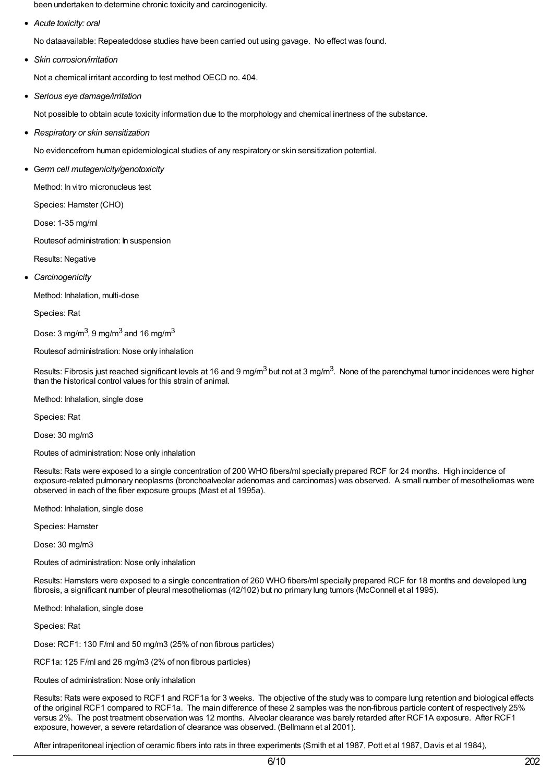been undertaken to determine chronic toxicity and carcinogenicity.

*Acute toxicity: oral*

No dataavailable: Repeateddose studies have been carried out using gavage. No effect was found.

*Skin corrosion/irritation*

Not a chemical irritant according to test method OECD no. 404.

*Serious eye damage/irritation*

Not possible to obtain acute toxicity information due to the morphology and chemical inertness of the substance.

*Respiratory or skin sensitization*

No evidencefrom human epidemiological studies of any respiratory or skin sensitization potential.

G*erm cell mutagenicity/genotoxicity*

Method: In vitro micronucleus test

Species: Hamster (CHO)

Dose: 1-35 mg/ml

Routesof administration: In suspension

- Results: Negative
- *Carcinogenicity*

Method: Inhalation, multi-dose

Species: Rat

Dose: 3 mg/m $^3$ , 9 mg/m $^3$  and 16 mg/m $^3$ 

Routesof administration: Nose only inhalation

Results: Fibrosis just reached significant levels at 16 and 9 mg/m<sup>3</sup> but not at 3 mg/m<sup>3</sup>. None of the parenchymal tumor incidences were higher than the historical control values for this strain of animal.

Method: Inhalation, single dose

Species: Rat

Dose: 30 mg/m3

Routes of administration: Nose only inhalation

Results: Rats were exposed to a single concentration of 200 WHO fibers/ml specially prepared RCF for 24 months. High incidence of exposure-related pulmonary neoplasms (bronchoalveolar adenomas and carcinomas) was observed. A small number of mesotheliomas were observed in each of the fiber exposure groups (Mast et al 1995a).

Method: Inhalation, single dose

Species: Hamster

Dose: 30 mg/m3

Routes of administration: Nose only inhalation

Results: Hamsters were exposed to a single concentration of 260 WHO fibers/ml specially prepared RCF for 18 months and developed lung fibrosis, a significant number of pleural mesotheliomas (42/102) but no primary lung tumors (McConnell et al 1995).

Method: Inhalation, single dose

Species: Rat

Dose: RCF1: 130 F/ml and 50 mg/m3 (25% of non fibrous particles)

RCF1a: 125 F/ml and 26 mg/m3 (2% of non fibrous particles)

Routes of administration: Nose only inhalation

Results: Rats were exposed to RCF1 and RCF1a for 3 weeks. The objective of the study was to compare lung retention and biological effects of the original RCF1 compared to RCF1a. The main difference of these 2 samples was the non-fibrous particle content of respectively 25% versus 2%. The post treatment observation was 12 months. Alveolar clearance was barely retarded after RCF1A exposure. After RCF1 exposure, however, a severe retardation of clearance was observed. (Bellmann et al 2001).

After intraperitoneal injection of ceramic fibers into rats in three experiments (Smith et al 1987, Pott et al 1987, Davis et al 1984),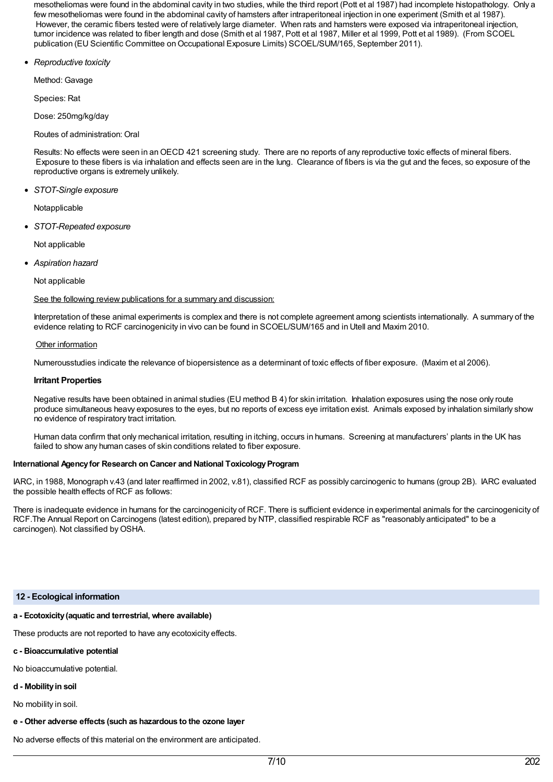mesotheliomas were found in the abdominal cavity in two studies, while the third report (Pott et al 1987) had incomplete histopathology. Only a few mesotheliomas were found in the abdominal cavity of hamsters after intraperitoneal injection in one experiment (Smith et al 1987). However, the ceramic fibers tested were of relatively large diameter. When rats and hamsters were exposed via intraperitoneal injection, tumor incidence was related to fiber length and dose (Smith et al 1987, Pott et al 1987, Miller et al 1999, Pott et al 1989). (From SCOEL publication (EU Scientific Committee on Occupational Exposure Limits) SCOEL/SUM/165, September 2011).

*Reproductive toxicity*

Method: Gavage

Species: Rat

Dose: 250mg/kg/day

Routes of administration: Oral

Results: No effects were seen in anOECD 421 screening study. There are no reports of any reproductive toxic effects of mineral fibers. Exposure to these fibers is via inhalation and effects seen are in the lung. Clearance of fibers is via the gut and the feces, so exposure of the reproductive organs is extremely unlikely.

*STOT-Single exposure*

Notapplicable

*STOT-Repeated exposure*

Not applicable

*Aspiration hazard*

Not applicable

See the following review publications for a summary and discussion:

Interpretation of these animal experiments is complex and there is not complete agreement among scientists internationally. A summary of the evidence relating to RCF carcinogenicity in vivo can be found in SCOEL/SUM/165 and in Utell and Maxim 2010.

## Other information

Numerousstudies indicate the relevance of biopersistence as a determinant of toxic effects of fiber exposure. (Maxim et al 2006).

### **Irritant Properties**

Negative results have been obtained in animal studies (EU method B 4) for skin irritation. Inhalation exposures using the nose only route produce simultaneous heavy exposures to the eyes, but no reports of excess eye irritation exist. Animals exposed by inhalation similarly show no evidence of respiratory tract irritation.

Human data confirm that only mechanical irritation, resulting in itching, occurs in humans. Screening at manufacturers' plants in the UK has failed to show any human cases of skin conditions related to fiber exposure.

### **International Agency for Research on Cancer and National Toxicology Program**

IARC, in 1988, Monograph v.43 (and later reaffirmed in 2002, v.81), classified RCF as possibly carcinogenic to humans (group 2B). IARC evaluated the possible health effects of RCF as follows:

There is inadequate evidence in humans for the carcinogenicity of RCF. There is sufficient evidence in experimental animals for the carcinogenicity of RCF.The Annual Report on Carcinogens (latest edition), prepared by NTP, classified respirable RCF as "reasonably anticipated" to be a carcinogen). Not classified by OSHA.

## **12 - Ecological information**

# **a - Ecotoxicity(aquatic and terrestrial, where available)**

These products are not reported to have any ecotoxicity effects.

## **c - Bioaccumulative potential**

No bioaccumulative potential.

# **d - Mobilityin soil**

No mobility in soil.

# **e - Other adverse effects (such as hazardous to the ozone layer**

No adverse effects of this material on the environment are anticipated.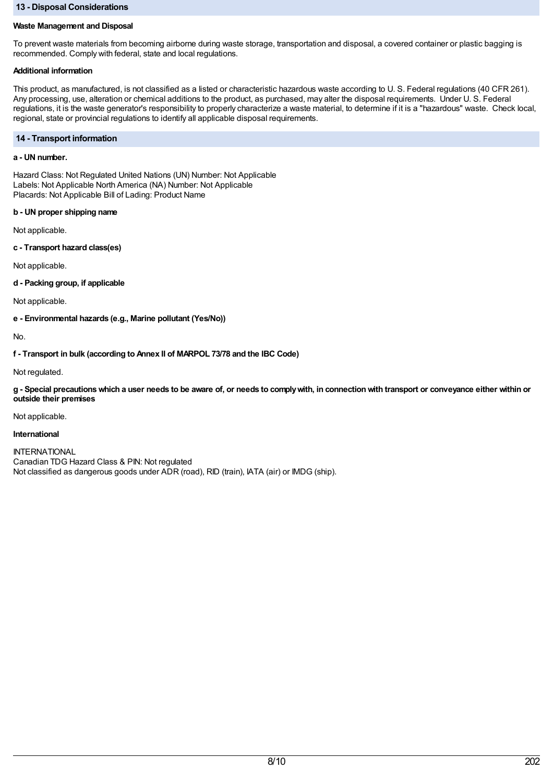### **13 - Disposal Considerations**

## **Waste Management and Disposal**

To prevent waste materials from becoming airborne during waste storage, transportation and disposal, a covered container or plastic bagging is recommended. Comply with federal, state and local regulations.

## **Additional information**

This product, as manufactured, is not classified as a listed or characteristic hazardous waste according to U. S. Federal regulations (40 CFR 261). Any processing, use, alteration or chemical additions to the product, as purchased, may alter the disposal requirements. Under U. S. Federal regulations, it is the waste generator's responsibility to properly characterize a waste material, to determine if it is a "hazardous" waste. Check local, regional, state or provincial regulations to identify all applicable disposal requirements.

### **14 - Transport information**

## **a - UN number.**

Hazard Class: Not Regulated United Nations (UN) Number: Not Applicable Labels: Not Applicable North America (NA) Number: Not Applicable Placards: Not Applicable Bill of Lading: Product Name

### **b - UN proper shipping name**

Not applicable.

**c - Transport hazard class(es)**

Not applicable.

**d - Packing group, if applicable**

Not applicable.

**e - Environmental hazards (e.g., Marine pollutant (Yes/No))**

No.

**f - Transport in bulk (according to Annex II of MARPOL 73/78 and the IBC Code)**

Not regulated.

g - Special precautions which a user needs to be aware of, or needs to comply with, in connection with transport or conveyance either within or **outside their premises**

Not applicable.

### **International**

INTERNATIONAL Canadian TDG Hazard Class & PIN: Not regulated Not classified as dangerous goods under ADR (road), RID (train), IATA (air) or IMDG (ship).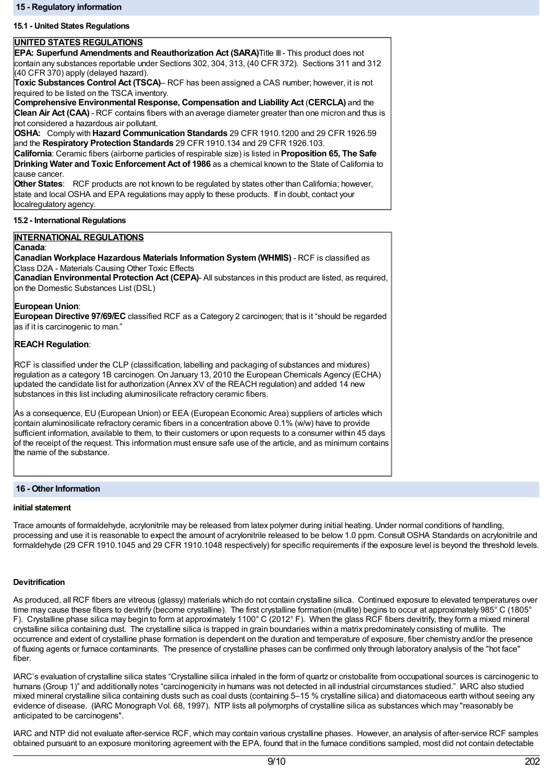### **15.1 - United States Regulations**

### **UNITED STATES REGULATIONS**

**EPA: Superfund Amendments and Reauthorization Act (SARA)**Title III- This product does not contain any substances reportable under Sections 302, 304, 313, (40 CFR 372). Sections 311 and 312 (40 CFR 370) apply (delayed hazard).

**Toxic Substances Control Act (TSCA)**– RCF has been assigned a CAS number; however, it is not required to be listed on the TSCA inventory.

**Comprehensive Environmental Response, Compensation and Liability Act** (**CERCLA)** and the **Clean Air Act (CAA)** - RCF contains fibers with an average diameter greater than one micron and thus is not considered a hazardous air pollutant.

**OSHA:** Comply with **Hazard Communication Standards** 29 CFR 1910.1200 and 29 CFR 1926.59 and the **Respiratory Protection Standards** 29 CFR 1910.134 and 29 CFR 1926.103.

**California**: Ceramic fibers (airborne particles of respirable size) is listed in **Proposition 65, The Safe Drinking Water and Toxic Enforcement Act of 1986** as a chemical known to the State of California to cause cancer.

**Other States**: RCF products are not known to be regulated by states other than California; however, state and local OSHA and EPA regulations may apply to these products. If in doubt, contact your localregulatory agency.

### **15.2 - International Regulations**

### **INTERNATIONAL REGULATIONS**

### **Canada**:

**Canadian Workplace Hazardous Materials Information System(WHMIS)** - RCF is classified as Class D2A - Materials Causing Other Toxic Effects

**Canadian Environmental Protection Act (CEPA)**- All substances in this product are listed, as required, on the Domestic Substances List (DSL)

### **European Union**:

**European Directive 97/69/EC** classified RCF as a Category 2 carcinogen; that is it "should be regarded as if it is carcinogenic to man."

### **REACH Regulation**:

RCF is classified under the CLP (classification, labelling and packaging of substances and mixtures) regulation as a category 1B carcinogen. On January 13, 2010 the European Chemicals Agency (ECHA) updated the candidate list for authorization (Annex XV of the REACH regulation) and added 14 new substances in this list including aluminosilicate refractory ceramic fibers.

As a consequence, EU (European Union) or EEA (European Economic Area) suppliers of articles which contain aluminosilicate refractory ceramic fibers in a concentration above 0.1% (w/w) have to provide sufficient information, available to them, to their customers or upon requests to a consumer within 45 days of the receipt of the request. This information must ensure safe use of the article, and as minimum contains the name of the substance.

### **16 - Other Information**

#### **initial statement**

Trace amounts of formaldehyde, acrylonitrile may be released from latex polymer during initial heating. Under normal conditions of handling, processing and use it is reasonable to expect the amount of acrylonitrile released to be below 1.0 ppm. Consult OSHA Standards on acrylonitrile and formaldehyde (29 CFR 1910.1045 and 29 CFR 1910.1048 respectively) for specific requirements if the exposure level is beyond the threshold levels.

### **Devitrification**

As produced, all RCF fibers are vitreous (glassy) materials which do not contain crystalline silica. Continued exposure to elevated temperatures over time may cause these fibers to devitrify (become crystalline). The first crystalline formation (mullite) begins to occur at approximately 985° C (1805° F). Crystalline phase silica may begin to form at approximately 1100° C (2012° F). When the glass RCF fibers devitrify, they form a mixed mineral crystalline silica containing dust. The crystalline silica is trapped in grain boundaries within a matrix predominately consisting of mullite. The occurrence and extent of crystalline phase formation is dependent on the duration and temperature of exposure, fiber chemistry and/or the presence of fluxing agents or furnace contaminants. The presence of crystalline phases can be confirmed only through laboratory analysis of the "hot face" fiber.

IARC's evaluation of crystalline silica states "Crystalline silica inhaled in the form of quartz or cristobalite from occupational sources is carcinogenic to humans (Group 1)" and additionally notes "carcinogenicity in humans was not detected in all industrial circumstances studied." IARC also studied mixed mineral crystalline silica containing dusts such as coal dusts (containing 5–15 % crystalline silica) and diatomaceous earth without seeing any evidence of disease. (IARC Monograph Vol. 68, 1997). NTP lists all polymorphs of crystalline silica as substances which may "reasonably be anticipated to be carcinogens".

IARC and NTP did not evaluate after-service RCF, which may contain various crystalline phases. However, an analysis of after-service RCF samples obtained pursuant to an exposure monitoring agreement with the EPA, found that in the furnace conditions sampled, most did not contain detectable